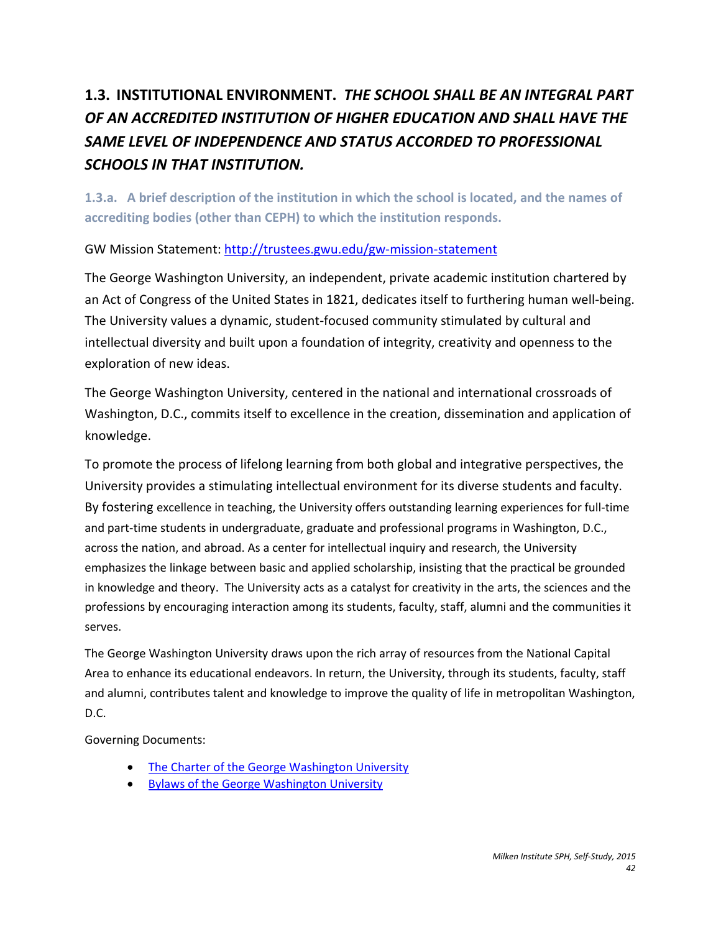# **1.3. INSTITUTIONAL ENVIRONMENT.** *THE SCHOOL SHALL BE AN INTEGRAL PART OF AN ACCREDITED INSTITUTION OF HIGHER EDUCATION AND SHALL HAVE THE SAME LEVEL OF INDEPENDENCE AND STATUS ACCORDED TO PROFESSIONAL SCHOOLS IN THAT INSTITUTION.*

**1.3.a. A brief description of the institution in which the school is located, and the names of accrediting bodies (other than CEPH) to which the institution responds.** 

GW Mission Statement:<http://trustees.gwu.edu/gw-mission-statement>

The George Washington University, an independent, private academic institution chartered by an Act of Congress of the United States in 1821, dedicates itself to furthering human well-being. The University values a dynamic, student-focused community stimulated by cultural and intellectual diversity and built upon a foundation of integrity, creativity and openness to the exploration of new ideas.

The George Washington University, centered in the national and international crossroads of Washington, D.C., commits itself to excellence in the creation, dissemination and application of knowledge.

To promote the process of lifelong learning from both global and integrative perspectives, the University provides a stimulating intellectual environment for its diverse students and faculty. By fostering excellence in teaching, the University offers outstanding learning experiences for full-time and part-time students in undergraduate, graduate and professional programs in Washington, D.C., across the nation, and abroad. As a center for intellectual inquiry and research, the University emphasizes the linkage between basic and applied scholarship, insisting that the practical be grounded in knowledge and theory. The University acts as a catalyst for creativity in the arts, the sciences and the professions by encouraging interaction among its students, faculty, staff, alumni and the communities it serves.

The George Washington University draws upon the rich array of resources from the National Capital Area to enhance its educational endeavors. In return, the University, through its students, faculty, staff and alumni, contributes talent and knowledge to improve the quality of life in metropolitan Washington, D.C.

Governing Documents:

- [The Charter of the George Washington University](https://trustees.gwu.edu/sites/trustees.gwu.edu/files/downloads/GW%20Charter.pdf)
- [Bylaws of the George Washington University](https://trustees.gwu.edu/sites/trustees.gwu.edu/files/downloads/6-21-2013%20-%20Bylaws%20of%20the%20George%20Washington%20University.pdf)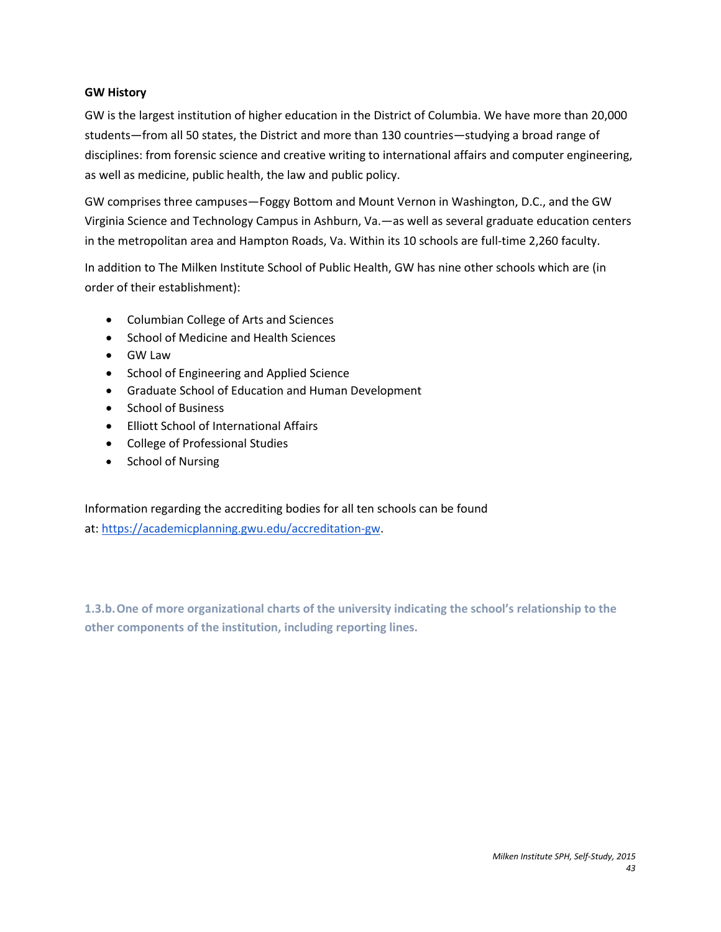#### **GW History**

GW is the largest institution of higher education in the District of Columbia. We have more than 20,000 students—from all 50 states, the District and more than 130 countries—studying a broad range of disciplines: from forensic science and creative writing to international affairs and computer engineering, as well as medicine, public health, the law and public policy.

GW comprises three campuses—Foggy Bottom and Mount Vernon in Washington, D.C., and the GW Virginia Science and Technology Campus in Ashburn, Va.—as well as several graduate education centers in the metropolitan area and Hampton Roads, Va. Within its 10 schools are full-time 2,260 faculty.

In addition to The Milken Institute School of Public Health, GW has nine other schools which are (in order of their establishment):

- Columbian College of Arts and Sciences
- School of Medicine and Health Sciences
- GW Law
- School of Engineering and Applied Science
- Graduate School of Education and Human Development
- School of Business
- Elliott School of International Affairs
- College of Professional Studies
- School of Nursing

Information regarding the accrediting bodies for all ten schools can be found at: [https://academicplanning.gwu.edu/accreditation-gw.](https://academicplanning.gwu.edu/accreditation-gw)

**1.3.b.One of more organizational charts of the university indicating the school's relationship to the other components of the institution, including reporting lines.**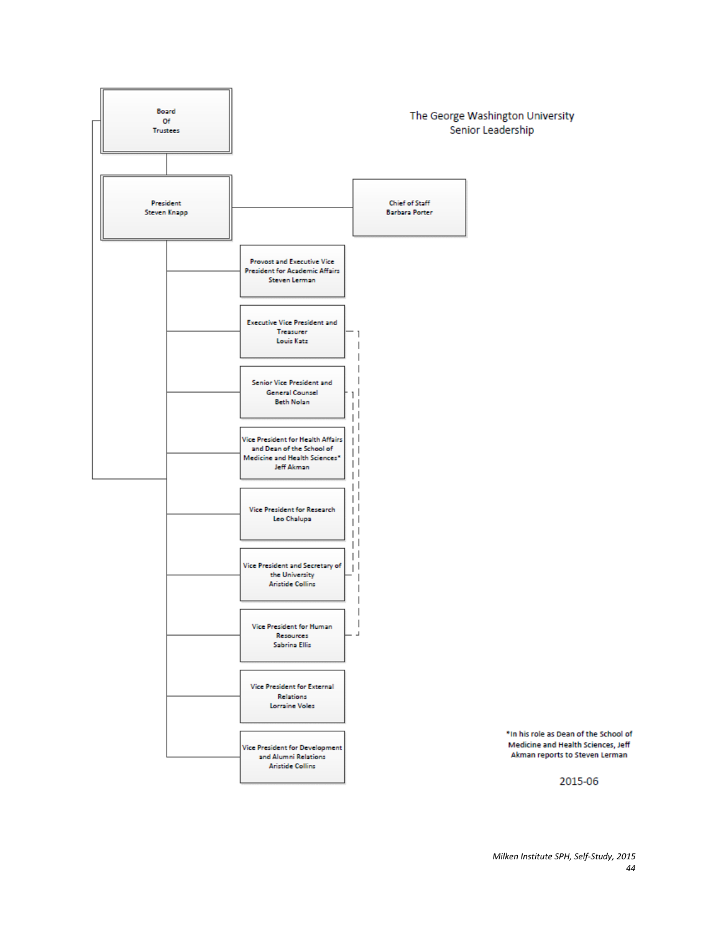

2015-06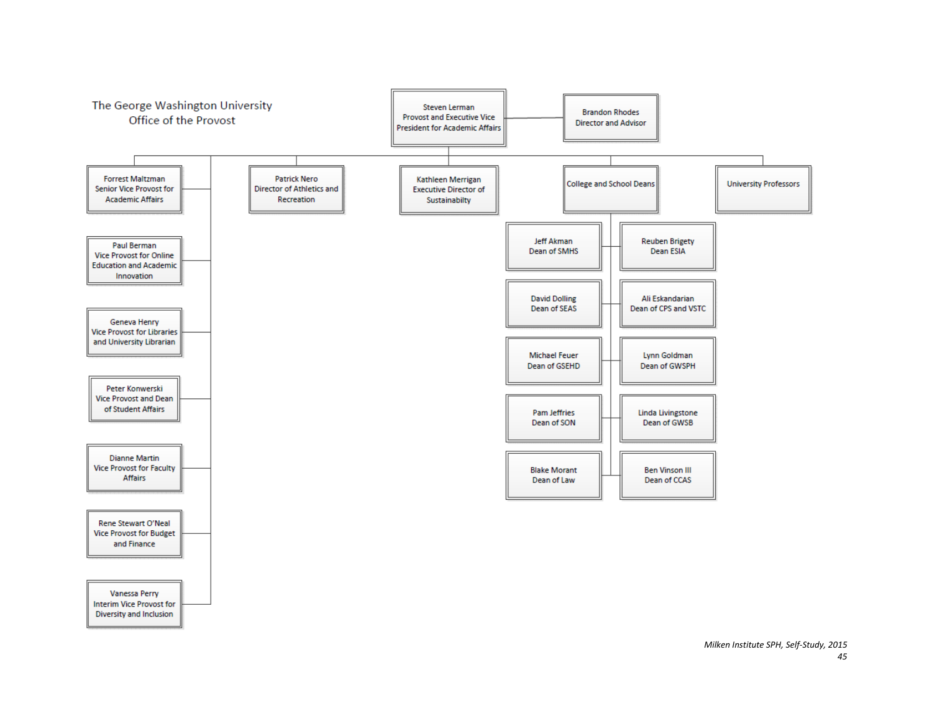

*Milken Institute SPH, Self-Study, 2015 45*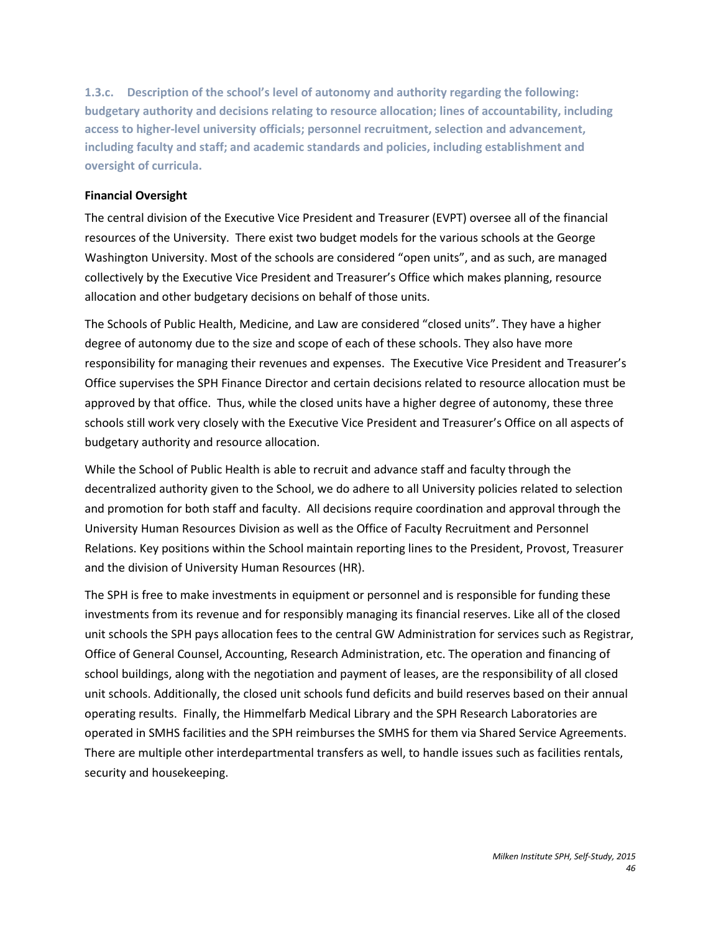**1.3.c. Description of the school's level of autonomy and authority regarding the following: budgetary authority and decisions relating to resource allocation; lines of accountability, including access to higher-level university officials; personnel recruitment, selection and advancement, including faculty and staff; and academic standards and policies, including establishment and oversight of curricula.**

#### **Financial Oversight**

The central division of the Executive Vice President and Treasurer (EVPT) oversee all of the financial resources of the University. There exist two budget models for the various schools at the George Washington University. Most of the schools are considered "open units", and as such, are managed collectively by the Executive Vice President and Treasurer's Office which makes planning, resource allocation and other budgetary decisions on behalf of those units.

The Schools of Public Health, Medicine, and Law are considered "closed units". They have a higher degree of autonomy due to the size and scope of each of these schools. They also have more responsibility for managing their revenues and expenses. The Executive Vice President and Treasurer's Office supervises the SPH Finance Director and certain decisions related to resource allocation must be approved by that office. Thus, while the closed units have a higher degree of autonomy, these three schools still work very closely with the Executive Vice President and Treasurer's Office on all aspects of budgetary authority and resource allocation.

While the School of Public Health is able to recruit and advance staff and faculty through the decentralized authority given to the School, we do adhere to all University policies related to selection and promotion for both staff and faculty. All decisions require coordination and approval through the University Human Resources Division as well as the Office of Faculty Recruitment and Personnel Relations. Key positions within the School maintain reporting lines to the President, Provost, Treasurer and the division of University Human Resources (HR).

The SPH is free to make investments in equipment or personnel and is responsible for funding these investments from its revenue and for responsibly managing its financial reserves. Like all of the closed unit schools the SPH pays allocation fees to the central GW Administration for services such as Registrar, Office of General Counsel, Accounting, Research Administration, etc. The operation and financing of school buildings, along with the negotiation and payment of leases, are the responsibility of all closed unit schools. Additionally, the closed unit schools fund deficits and build reserves based on their annual operating results. Finally, the Himmelfarb Medical Library and the SPH Research Laboratories are operated in SMHS facilities and the SPH reimburses the SMHS for them via Shared Service Agreements. There are multiple other interdepartmental transfers as well, to handle issues such as facilities rentals, security and housekeeping.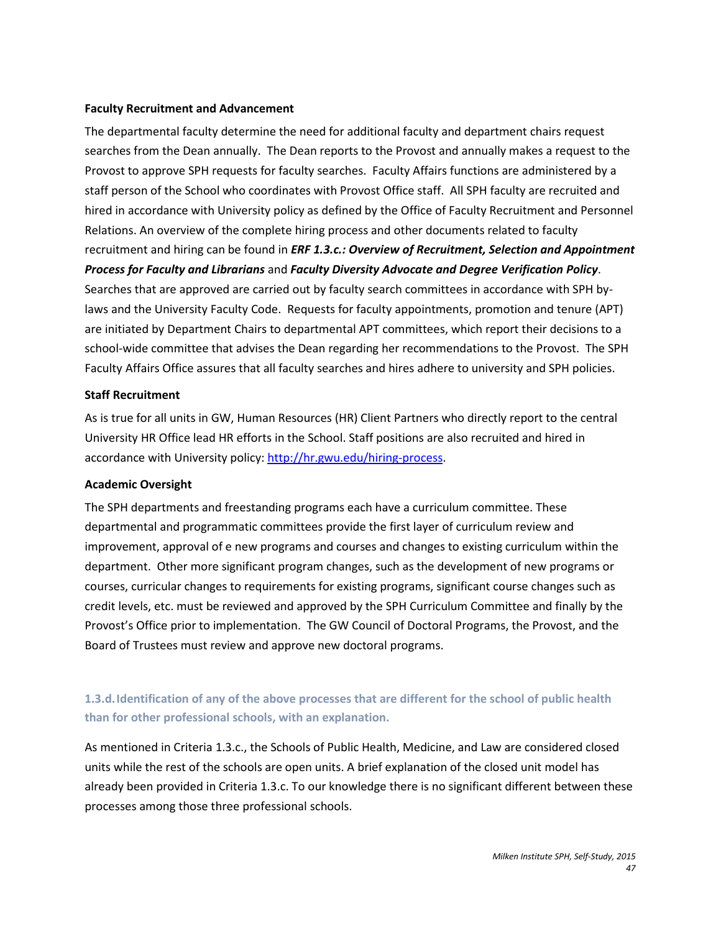#### **Faculty Recruitment and Advancement**

The departmental faculty determine the need for additional faculty and department chairs request searches from the Dean annually. The Dean reports to the Provost and annually makes a request to the Provost to approve SPH requests for faculty searches. Faculty Affairs functions are administered by a staff person of the School who coordinates with Provost Office staff. All SPH faculty are recruited and hired in accordance with University policy as defined by the Office of Faculty Recruitment and Personnel Relations. An overview of the complete hiring process and other documents related to faculty recruitment and hiring can be found in *ERF 1.3.c.: Overview of Recruitment, Selection and Appointment Process for Faculty and Librarians* and *Faculty Diversity Advocate and Degree Verification Policy*. Searches that are approved are carried out by faculty search committees in accordance with SPH bylaws and the University Faculty Code. Requests for faculty appointments, promotion and tenure (APT) are initiated by Department Chairs to departmental APT committees, which report their decisions to a school-wide committee that advises the Dean regarding her recommendations to the Provost. The SPH Faculty Affairs Office assures that all faculty searches and hires adhere to university and SPH policies.

#### **Staff Recruitment**

As is true for all units in GW, Human Resources (HR) Client Partners who directly report to the central University HR Office lead HR efforts in the School. Staff positions are also recruited and hired in accordance with University policy: [http://hr.gwu.edu/hiring-process.](http://hr.gwu.edu/hiring-process)

#### **Academic Oversight**

The SPH departments and freestanding programs each have a curriculum committee. These departmental and programmatic committees provide the first layer of curriculum review and improvement, approval of e new programs and courses and changes to existing curriculum within the department. Other more significant program changes, such as the development of new programs or courses, curricular changes to requirements for existing programs, significant course changes such as credit levels, etc. must be reviewed and approved by the SPH Curriculum Committee and finally by the Provost's Office prior to implementation. The GW Council of Doctoral Programs, the Provost, and the Board of Trustees must review and approve new doctoral programs.

# **1.3.d.Identification of any of the above processes that are different for the school of public health than for other professional schools, with an explanation.**

As mentioned in Criteria 1.3.c., the Schools of Public Health, Medicine, and Law are considered closed units while the rest of the schools are open units. A brief explanation of the closed unit model has already been provided in Criteria 1.3.c. To our knowledge there is no significant different between these processes among those three professional schools.